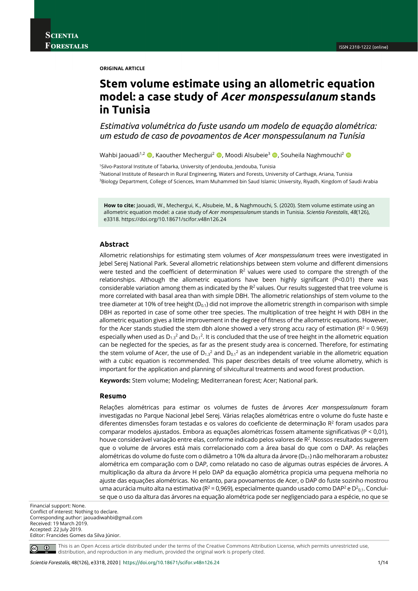#### **ORIGINAL ARTICLE**

# **Stem volume estimate using an allometric equation model: a case study of** *Acer monspessulanum* **stands in Tunisia**

*Estimativa volumétrica do fuste usando um modelo de equação alométrica: um estudo de caso de povoamentos de Acer monspessulanum na Tunísia*

Wahbi Jaouadi<sup>1,2</sup>  $\bullet$ , Kaouther Mechergui<sup>2</sup>  $\bullet$ , Moodi Alsubeie<sup>3</sup>  $\bullet$ , Souheila Naghmouchi<sup>2</sup>  $\bullet$ 

1Silvo-Pastoral Institute of Tabarka, University of Jendouba, Jendouba, Tunisia 2National Institute of Research in Rural Engineering, Waters and Forests, University of Carthage, Ariana, Tunisia <sup>3</sup>Biology Department, College of Sciences, Imam Muhammed bin Saud Islamic University, Riyadh, Kingdom of Saudi Arabia

**How to cite:** Jaouadi, W., Mechergui, K., Alsubeie, M., & Naghmouchi, S. (2020). Stem volume estimate using an allometric equation model: a case study of *Acer monspessulanum* stands in Tunisia. *Scientia Forestalis*, *48*(126), e3318. https://doi.org/10.18671/scifor.v48n126.24

## **Abstract**

Allometric relationships for estimating stem volumes of *Acer monspessulanum* trees were investigated in Jebel Serej National Park. Several allometric relationships between stem volume and different dimensions were tested and the coefficient of determination  $R<sup>2</sup>$  values were used to compare the strength of the relationships. Although the allometric equations have been highly significant (P<0.01) there was considerable variation among them as indicated by the  $R<sup>2</sup>$  values. Our results suggested that tree volume is more correlated with basal area than with simple DBH. The allometric relationships of stem volume to the tree diameter at 10% of tree height ( $D_{0.1}$ ) did not improve the allometric strength in comparison with simple DBH as reported in case of some other tree species. The multiplication of tree height H with DBH in the allometric equation gives a little improvement in the degree of fitness of the allometric equations. However, for the Acer stands studied the stem dbh alone showed a very strong accu racy of estimation ( $R^2$  = 0.969) especially when used as  $D_{1.3}^2$  and  $D_{0.1}^2$ . It is concluded that the use of tree height in the allometric equation can be neglected for the species, as far as the present study area is concerned. Therefore, for estimating the stem volume of Acer, the use of  $D_{1,3}^2$  and  $D_{0,1}^2$  as an independent variable in the allometric equation with a cubic equation is recommended. This paper describes details of tree volume allometry, which is important for the application and planning of silvicultural treatments and wood forest production.

**Keywords:** Stem volume; Modeling; Mediterranean forest; Acer; National park.

#### **Resumo**

Relações alométricas para estimar os volumes de fustes de árvores *Acer monspessulanum* foram investigadas no Parque Nacional Jebel Serej. Várias relações alométricas entre o volume do fuste haste e diferentes dimensões foram testadas e os valores do coeficiente de determinação  $R^2$  foram usados para comparar modelos ajustados. Embora as equações alométricas fossem altamente significativas (P < 0,01), houve considerável variação entre elas, conforme indicado pelos valores de R<sup>2</sup>. Nossos resultados sugerem que o volume de árvores está mais correlacionado com a área basal do que com o DAP. As relações alométricas do volume do fuste com o diâmetro a 10% da altura da árvore (D<sub>0.1</sub>) não melhoraram a robustez alométrica em comparação com o DAP, como relatado no caso de algumas outras espécies de árvores. A multiplicação da altura da árvore H pelo DAP da equação alométrica propicia uma pequena melhoria no ajuste das equações alométricas. No entanto, para povoamentos de Acer, o DAP do fuste sozinho mostrou uma acurácia muito alta na estimativa ( $R^2$  = 0,969), especialmente quando usado como DAP<sup>2</sup> e D<sup>2</sup><sub>0,1</sub>. Concluise que o uso da altura das árvores na equação alométrica pode ser negligenciado para a espécie, no que se

Financial support: None.

Conflict of interest: Nothing to declare. Corresponding author: jaouadiwahbi@gmail.com Received: 19 March 2019. Accepted: 22 July 2019. Editor: Francides Gomes da Silva Júnior.



This is an Open Access article distributed under the terms of the Creative Commons Attribution License, which permits unrestricted use, distribution, and reproduction in any medium, provided the original work is properly cited.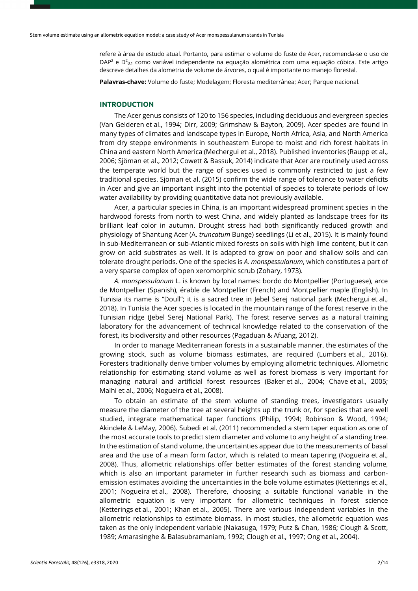refere à área de estudo atual. Portanto, para estimar o volume do fuste de Acer, recomenda-se o uso de  $DAP<sup>2</sup>$  e  $D<sup>2</sup>_{0.1}$  como variável independente na equação alométrica com uma equação cúbica. Este artigo descreve detalhes da alometria de volume de árvores, o qual é importante no manejo florestal.

**Palavras-chave:** Volume do fuste; Modelagem; Floresta mediterrânea; Acer; Parque nacional.

## **INTRODUCTION**

The Acer genus consists of 120 to 156 species, including deciduous and evergreen species (Van Gelderen et al., 1994; Dirr, 2009; Grimshaw & Bayton, 2009). Acer species are found in many types of climates and landscape types in Europe, North Africa, Asia, and North America from dry steppe environments in southeastern Europe to moist and rich forest habitats in China and eastern North America (Mechergui et al., 2018). Published inventories (Raupp et al., 2006; Sjöman et al., 2012; Cowett & Bassuk, 2014) indicate that Acer are routinely used across the temperate world but the range of species used is commonly restricted to just a few traditional species. Sjöman et al. (2015) confirm the wide range of tolerance to water deficits in Acer and give an important insight into the potential of species to tolerate periods of low water availability by providing quantitative data not previously available.

Acer, a particular species in China, is an important widespread prominent species in the hardwood forests from north to west China, and widely planted as landscape trees for its brilliant leaf color in autumn. Drought stress had both significantly reduced growth and physiology of Shantung Acer (A. *truncatum* Bunge) seedlings (Li et al., 2015). It is mainly found in sub-Mediterranean or sub-Atlantic mixed forests on soils with high lime content, but it can grow on acid substrates as well. It is adapted to grow on poor and shallow soils and can tolerate drought periods. One of the species is *A. monspessulanum*, which constitutes a part of a very sparse complex of open xeromorphic scrub (Zohary, 1973).

*A. monspessulanum* L. is known by local names: bordo do Montpellier (Portuguese), arce de Montpellier (Spanish), érable de Montpellier (French) and Montpellier maple (English). In Tunisia its name is "Doull"; it is a sacred tree in Jebel Serej national park (Mechergui et al., 2018). In Tunisia the Acer species is located in the mountain range of the forest reserve in the Tunisian ridge (Jebel Serej National Park). The forest reserve serves as a natural training laboratory for the advancement of technical knowledge related to the conservation of the forest, its biodiversity and other resources (Pagaduan & Afuang, 2012).

In order to manage Mediterranean forests in a sustainable manner, the estimates of the growing stock, such as volume biomass estimates, are required (Lumbers et al., 2016). Foresters traditionally derive timber volumes by employing allometric techniques. Allometric relationship for estimating stand volume as well as forest biomass is very important for managing natural and artificial forest resources (Baker et al., 2004; Chave et al., 2005; Malhi et al., 2006; Nogueira et al., 2008).

To obtain an estimate of the stem volume of standing trees, investigators usually measure the diameter of the tree at several heights up the trunk or, for species that are well studied, integrate mathematical taper functions (Philip, 1994; Robinson & Wood, 1994; Akindele & LeMay, 2006). Subedi et al. (2011) recommended a stem taper equation as one of the most accurate tools to predict stem diameter and volume to any height of a standing tree. In the estimation of stand volume, the uncertainties appear due to the measurements of basal area and the use of a mean form factor, which is related to mean tapering (Nogueira et al., 2008). Thus, allometric relationships offer better estimates of the forest standing volume, which is also an important parameter in further research such as biomass and carbonemission estimates avoiding the uncertainties in the bole volume estimates (Ketterings et al., 2001; Nogueira et al., 2008). Therefore, choosing a suitable functional variable in the allometric equation is very important for allometric techniques in forest science (Ketterings et al., 2001; Khan et al., 2005). There are various independent variables in the allometric relationships to estimate biomass. In most studies, the allometric equation was taken as the only independent variable (Nakasuga, 1979; Putz & Chan, 1986; Clough & Scott, 1989; Amarasinghe & Balasubramaniam, 1992; Clough et al., 1997; Ong et al., 2004).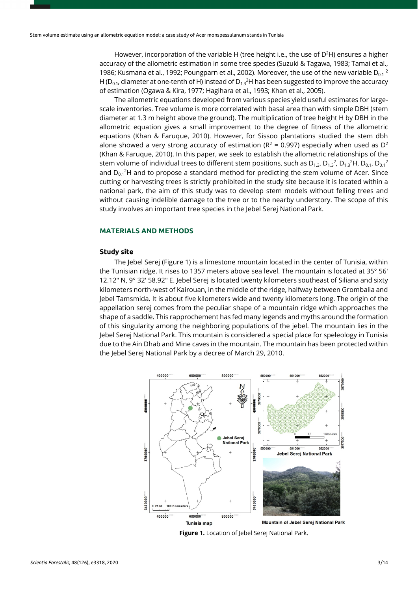However, incorporation of the variable H (tree height i.e., the use of  $D^2H$ ) ensures a higher accuracy of the allometric estimation in some tree species (Suzuki & Tagawa, 1983; Tamai et al., 1986; Kusmana et al., 1992; Poungparn et al., 2002). Moreover, the use of the new variable D<sub>0.1</sub><sup>2</sup> H ( $D_{0.1}$ , diameter at one-tenth of H) instead of  $D_{1.3}{}^{2}$ H has been suggested to improve the accuracy of estimation (Ogawa & Kira, 1977; Hagihara et al., 1993; Khan et al., 2005).

The allometric equations developed from various species yield useful estimates for largescale inventories. Tree volume is more correlated with basal area than with simple DBH (stem diameter at 1.3 m height above the ground). The multiplication of tree height H by DBH in the allometric equation gives a small improvement to the degree of fitness of the allometric equations (Khan & Faruque, 2010). However, for Sissoo plantations studied the stem dbh alone showed a very strong accuracy of estimation ( $R^2$  = 0.997) especially when used as  $D^2$ (Khan & Faruque, 2010). In this paper, we seek to establish the allometric relationships of the stem volume of individual trees to different stem positions, such as  $\mathsf{D}_{1.3}$ ,  $\mathsf{D}_{1.3}{}^2$ ,  $\mathsf{D}_{1.3}{}^2$ H,  $\mathsf{D}_{0.1}$ ,  $\mathsf{D}_{0.1}{}^2$ and  $D_{0.1}$ <sup>2</sup>H and to propose a standard method for predicting the stem volume of Acer. Since cutting or harvesting trees is strictly prohibited in the study site because it is located within a national park, the aim of this study was to develop stem models without felling trees and without causing indelible damage to the tree or to the nearby understory. The scope of this study involves an important tree species in the Jebel Serej National Park.

## **MATERIALS AND METHODS**

#### **Study site**

The Jebel Serej (Figure 1) is a limestone mountain located in the center of Tunisia, within the Tunisian ridge. It rises to 1357 meters above sea level. The mountain is located at 35° 56′ 12.12″ N, 9° 32′ 58.92″ E. Jebel Serej is located twenty kilometers southeast of Siliana and sixty kilometers north-west of Kairouan, in the middle of the ridge, halfway between Grombalia and Jebel Tamsmida. It is about five kilometers wide and twenty kilometers long. The origin of the appellation serej comes from the peculiar shape of a mountain ridge which approaches the shape of a saddle. This rapprochement has fed many legends and myths around the formation of this singularity among the neighboring populations of the jebel. The mountain lies in the Jebel Serej National Park. This mountain is considered a special place for speleology in Tunisia due to the Ain Dhab and Mine caves in the mountain. The mountain has been protected within the Jebel Serej National Park by a decree of March 29, 2010.



**Figure 1.** Location of Jebel Serej National Park.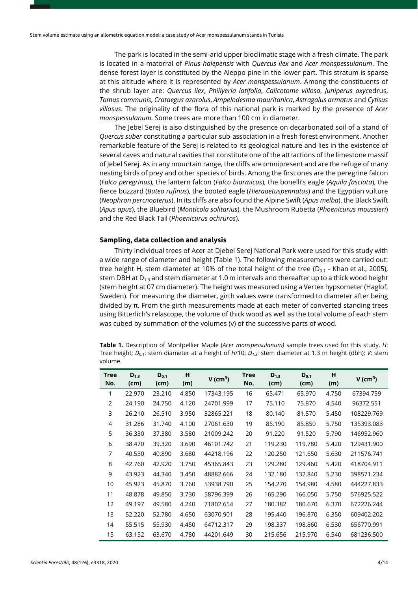The park is located in the semi-arid upper bioclimatic stage with a fresh climate. The park is located in a matorral of *Pinus halepensis* with *Quercus ilex* and *Acer monspessulanum*. The dense forest layer is constituted by the Aleppo pine in the lower part. This stratum is sparse at this altitude where it is represented by *Acer monspessulanum*. Among the constituents of the shrub layer are: *Quercus ilex*, *Phillyeria latifolia*, *Calicotome villosa*, *Juniperus oxyc*edrus, *Tamus communis*, *Crataegus azarolus*, *Ampelodesma mauritanica*, *Astragalus armatus* and *Cytisus villosus*. The originality of the flora of this national park is marked by the presence of *Acer monspessulanum.* Some trees are more than 100 cm in diameter.

The Jebel Serej is also distinguished by the presence on decarbonated soil of a stand of *Quercus suber* constituting a particular sub-association in a fresh forest environment. Another remarkable feature of the Serej is related to its geological nature and lies in the existence of several caves and natural cavities that constitute one of the attractions of the limestone massif of Jebel Serej. As in any mountain range, the cliffs are omnipresent and are the refuge of many nesting birds of prey and other species of birds. Among the first ones are the peregrine falcon (*Falco peregrinus*), the lantern falcon (*Falco biarmicus*), the bonelli's eagle (*Aquila fasciata*), the fierce buzzard (*Buteo rufinus*), the booted eagle (*Hieraaetuspennatus*) and the Egyptian vulture (*Neophron percnopterus*). In its cliffs are also found the Alpine Swift (*Apus melba*), the Black Swift (*Apus apus*), the Bluebird (*Monticola solitarius*), the Mushroom Rubetta (*Phoenicurus moussieri*) and the Red Black Tail (*Phoenicurus ochruros*).

#### **Sampling, data collection and analysis**

Thirty individual trees of Acer at Djebel Serej National Park were used for this study with a wide range of diameter and height (Table 1). The following measurements were carried out: tree height H, stem diameter at 10% of the total height of the tree ( $D_{0.1}$  - Khan et al., 2005), stem DBH at  $D_{1,3}$  and stem diameter at 1.0 m intervals and thereafter up to a thick wood height (stem height at 07 cm diameter). The height was measured using a Vertex hypsometer (Haglof, Sweden). For measuring the diameter, girth values were transformed to diameter after being divided by π. From the girth measurements made at each meter of converted standing trees using Bitterlich's relascope, the volume of thick wood as well as the total volume of each stem was cubed by summation of the volumes (v) of the successive parts of wood.

**Table 1.** Description of Montpellier Maple (*Acer monspessulanum)* sample trees used for this study. *H*: Tree height; *D*0.1: stem diameter at a height of *H*/10; *D1.3*: stem diameter at 1.3 m height (dbh); *V*: stem volume.

| <b>Tree</b><br>No. | $D_{1,3}$<br>(cm) | $D_{0.1}$<br>(cm) | н<br>(m) | $V$ (cm <sup>3</sup> ) | <b>Tree</b><br>No. | $D_{1,3}$<br>(cm) | $D_{0.1}$<br>(cm) | н<br>(m) | V (cm <sup>3</sup> ) |
|--------------------|-------------------|-------------------|----------|------------------------|--------------------|-------------------|-------------------|----------|----------------------|
| 1                  | 22.970            | 23.210            | 4.850    | 17343.195              | 16                 | 65.471            | 65.970            | 4.750    | 67394.759            |
| $\overline{2}$     | 24.190            | 24.750            | 4.120    | 24701.999              | 17                 | 75.110            | 75.870            | 4.540    | 96372.551            |
| 3                  | 26.210            | 26.510            | 3.950    | 32865.221              | 18                 | 80.140            | 81.570            | 5.450    | 108229.769           |
| 4                  | 31.286            | 31.740            | 4.100    | 27061.630              | 19                 | 85.190            | 85.850            | 5.750    | 135393.083           |
| 5                  | 36.330            | 37.380            | 3.580    | 21009.242              | 20                 | 91.220            | 91.520            | 5.790    | 146952.960           |
| 6                  | 38.470            | 39.320            | 3.690    | 46101.742              | 21                 | 119.230           | 119.780           | 5.420    | 129431.900           |
| 7                  | 40.530            | 40.890            | 3.680    | 44218.196              | 22                 | 120.250           | 121.650           | 5.630    | 211576.741           |
| 8                  | 42.760            | 42.920            | 3.750    | 45365.843              | 23                 | 129.280           | 129.460           | 5.420    | 418704.911           |
| 9                  | 43.923            | 44.340            | 3.450    | 48882.666              | 24                 | 132.180           | 132.840           | 5.230    | 398571.234           |
| 10                 | 45.923            | 45.870            | 3.760    | 53938.790              | 25                 | 154.270           | 154.980           | 4.580    | 444227.833           |
| 11                 | 48.878            | 49.850            | 3.730    | 58796.399              | 26                 | 165.290           | 166.050           | 5.750    | 576925.522           |
| 12                 | 49.197            | 49.580            | 4.240    | 71802.654              | 27                 | 180.382           | 180.670           | 6.370    | 672226.244           |
| 13                 | 52.220            | 52.780            | 4.650    | 63070.901              | 28                 | 195.440           | 196.870           | 6.350    | 609402.202           |
| 14                 | 55.515            | 55.930            | 4.450    | 64712.317              | 29                 | 198.337           | 198.860           | 6.530    | 656770.991           |
| 15                 | 63.152            | 63.670            | 4.780    | 44201.649              | 30                 | 215.656           | 215.970           | 6.540    | 681236.500           |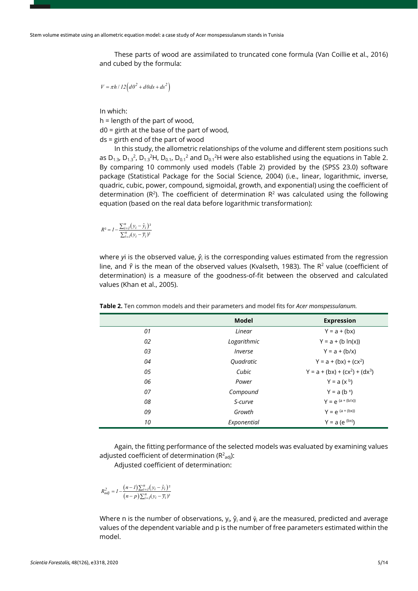These parts of wood are assimilated to truncated cone formula (Van Coillie et al., 2016) and cubed by the formula:

$$
V = \pi h / 12 \left( d\theta^2 + d\theta ds + ds^2 \right)
$$

In which:

h = length of the part of wood,

d0 = girth at the base of the part of wood,

ds = girth end of the part of wood

In this study, the allometric relationships of the volume and different stem positions such as  $D_{1,3}$ ,  $D_{1,3}$ <sup>2</sup>,  $D_{1,3}$ <sup>2</sup>H,  $D_{0,1}$ ,  $D_{0,1}$ <sup>2</sup> and  $D_{0,1}$ <sup>2</sup>H were also established using the equations in Table 2. By comparing 10 commonly used models (Table 2) provided by the (SPSS 23.0) software package (Statistical Package for the Social Science, 2004) (i.e., linear, logarithmic, inverse, quadric, cubic, power, compound, sigmoidal, growth, and exponential) using the coefficient of determination ( $R^2$ ). The coefficient of determination  $R^2$  was calculated using the following equation (based on the real data before logarithmic transformation):

$$
R^{2} = I - \frac{\sum_{i=1}^{n} (y_{i} - \hat{y}_{i})^{2}}{\sum_{i=1}^{n} (y_{i} - \overline{y}_{i})^{2}}
$$

where *y* is the observed value,  $\hat{y}_i$  is the corresponding values estimated from the regression line, and  $\bar{Y}$  is the mean of the observed values (Kvalseth, 1983). The R<sup>2</sup> value (coefficient of determination) is a measure of the goodness-of-fit between the observed and calculated values (Khan et al., 2005).

|    | <b>Model</b> | <b>Expression</b>              |
|----|--------------|--------------------------------|
| 01 | Linear       | $Y = a + (bx)$                 |
| 02 | Logarithmic  | $Y = a + (b ln(x))$            |
| 03 | Inverse      | $Y = a + (b/x)$                |
| 04 | Quadratic    | $Y = a + (bx) + (cx^2)$        |
| 05 | Cubic        | $Y = a + (bx) + (cx2) + (dx3)$ |
| 06 | Power        | $Y = a (x^b)$                  |
| 07 | Compound     | $Y = a (b^x)$                  |
| 08 | S-curve      | $Y = e^{(a + (b/x))}$          |
| 09 | Growth       | $Y = e^{(a + (bx))}$           |
| 10 | Exponential  | $Y = a (e^{(bx)})$             |

**Table 2.** Ten common models and their parameters and model fits for *Acer monspessulanum.*

Again, the fitting performance of the selected models was evaluated by examining values adjusted coefficient of determination ( $\mathsf{R}^2_{\mathsf{adj}}$ ):

Adjusted coefficient of determination:

$$
R_{adj}^{2} = I - \frac{(n-1)\sum_{i=1}^{n}(y_{i} - \hat{y}_{i})^{2}}{(n-p)\sum_{i=1}^{n}(y_{i} - \overline{y}_{i})^{2}}
$$

Where n is the number of observations,  $y_i$ ,  $\hat{y}_i$  and  $\bar{y}_i$  are the measured, predicted and average values of the dependent variable and p is the number of free parameters estimated within the model.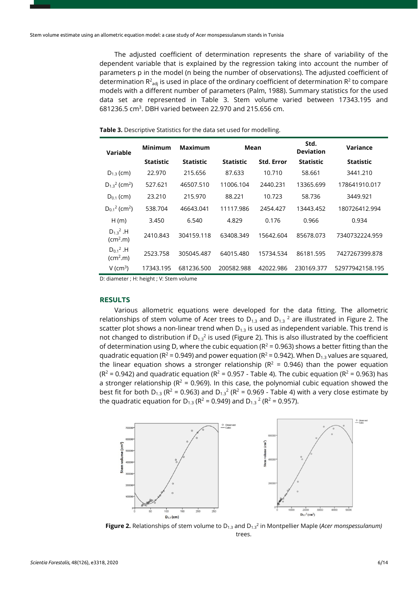The adjusted coefficient of determination represents the share of variability of the dependent variable that is explained by the regression taking into account the number of parameters p in the model (n being the number of observations). The adjusted coefficient of determination  $R^2_{adj}$  is used in place of the ordinary coefficient of determination  $R^2$  to compare models with a different number of parameters (Palm, 1988). Summary statistics for the used data set are represented in Table 3. Stem volume varied between 17343.195 and 681236.5 cm3. DBH varied between 22.970 and 215.656 cm.

|  | Table 3. Descriptive Statistics for the data set used for modelling. |  |  |  |
|--|----------------------------------------------------------------------|--|--|--|
|--|----------------------------------------------------------------------|--|--|--|

| Variable                                          | <b>Minimum</b>   | Maximum          | Mean             |                   | Std.<br><b>Deviation</b> | Variance         |
|---------------------------------------------------|------------------|------------------|------------------|-------------------|--------------------------|------------------|
|                                                   | <b>Statistic</b> | <b>Statistic</b> | <b>Statistic</b> | <b>Std. Error</b> | <b>Statistic</b>         | <b>Statistic</b> |
| $D_{1,3}$ (cm)                                    | 22,970           | 215.656          | 87.633           | 10.710            | 58.661                   | 3441.210         |
| $D_{1,3}^2$ (cm <sup>2</sup> )                    | 527.621          | 46507.510        | 11006.104        | 2440.231          | 13365.699                | 178641910.017    |
| $D_{0.1}$ (cm)                                    | 23.210           | 215.970          | 88.221           | 10.723            | 58.736                   | 3449.921         |
| $D_{0.1}^2$ (cm <sup>2</sup> )                    | 538.704          | 46643.041        | 11117.986        | 2454.427          | 13443.452                | 180726412.994    |
| H(m)                                              | 3.450            | 6.540            | 4.829            | 0.176             | 0.966                    | 0.934            |
| $D_1$ <sup>2</sup> .H<br>$\text{(cm}^2\text{.}m)$ | 2410.843         | 304159.118       | 63408.349        | 15642.604         | 85678.073                | 7340732224.959   |
| $D_{0.1}{}^2$ .H<br>(cm <sup>2</sup> .m)          | 2523.758         | 305045.487       | 64015.480        | 15734.534         | 86181.595                | 7427267399.878   |
| $V$ (cm <sup>3</sup> )                            | 17343.195        | 681236.500       | 200582.988       | 42022.986         | 230169.377               | 52977942158.195  |

D: diameter ; H: height ; V: Stem volume

## **RESULTS**

Various allometric equations were developed for the data fitting. The allometric relationships of stem volume of Acer trees to  $D_{1,3}$  and  $D_{1,3}$  <sup>2</sup> are illustrated in Figure 2. The scatter plot shows a non-linear trend when  $D_{1,3}$  is used as independent variable. This trend is not changed to distribution if  $D_{1.3}^2$  is used (Figure 2). This is also illustrated by the coefficient of determination using D, where the cubic equation ( $R^2$  = 0.963) shows a better fitting than the quadratic equation ( $R^2$  = 0.949) and power equation ( $R^2$  = 0.942). When  $D_{13}$  values are squared, the linear equation shows a stronger relationship ( $R^2$  = 0.946) than the power equation  $(R^2 = 0.942)$  and quadratic equation ( $R^2 = 0.957$  - Table 4). The cubic equation ( $R^2 = 0.963$ ) has a stronger relationship ( $R^2$  = 0.969). In this case, the polynomial cubic equation showed the best fit for both D<sub>1.3</sub> ( $R^2$  = 0.963) and D<sub>1.3</sub><sup>2</sup> ( $R^2$  = 0.969 - Table 4) with a very close estimate by the quadratic equation for  $D_{1,3}$  (R<sup>2</sup> = 0.949) and  $D_{1,3}$ <sup>2</sup> (R<sup>2</sup> = 0.957).



**Figure 2.** Relationships of stem volume to D<sub>1.3</sub> and D<sub>1.3</sub><sup>2</sup> in Montpellier Maple (*Acer monspessulanum*) trees.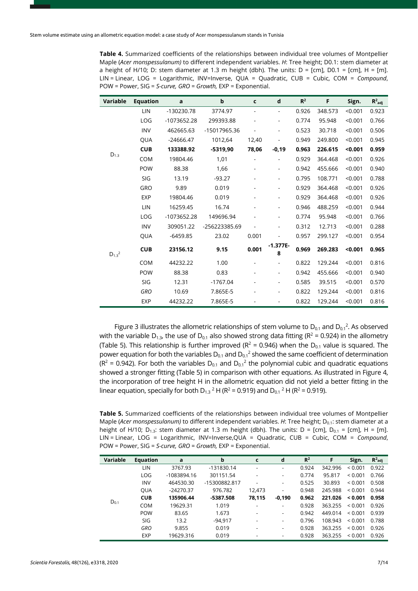**Table 4.** Summarized coefficients of the relationships between individual tree volumes of Montpellier Maple (*Acer monspessulanum)* to different independent variables. *H*: Tree height; D0.1: stem diameter at a height of H/10; D: stem diameter at 1.3 m height (dbh). The units:  $D = [cm]$ ,  $D0.1 = [cm]$ ,  $H = [m]$ . LIN = Linear, LOG = Logarithmic, INV=Inverse, QUA = Quadratic, CUB = Cubic, COM = *Compound*, POW = Power, SIG = *S-curve, GRO = Growth,* EXP = Exponential.

| Variable        | <b>Equation</b> | a           | $\mathbf b$   | c                        | d                        | $R^2$ | F       | Sign.   | $R^2$ adj |
|-----------------|-----------------|-------------|---------------|--------------------------|--------------------------|-------|---------|---------|-----------|
|                 | LIN             | -130230.78  | 3774.97       | $\overline{\phantom{a}}$ | $\blacksquare$           | 0.926 | 348.573 | < 0.001 | 0.923     |
|                 | LOG             | -1073652.28 | 299393.88     |                          | $\overline{a}$           | 0.774 | 95.948  | < 0.001 | 0.766     |
|                 | <b>INV</b>      | 462665.63   | -15017965.36  | ÷,                       | $\blacksquare$           | 0.523 | 30.718  | < 0.001 | 0.506     |
|                 | QUA             | $-24666.47$ | 1012,64       | 12,40                    |                          | 0.949 | 249.800 | < 0.001 | 0.945     |
|                 | <b>CUB</b>      | 133388.92   | $-5319,90$    | 78,06                    | $-0,19$                  | 0.963 | 226.615 | < 0.001 | 0.959     |
| $D_{1.3}$       | <b>COM</b>      | 19804.46    | 1,01          | $\overline{\phantom{a}}$ | ä,                       | 0.929 | 364.468 | < 0.001 | 0.926     |
|                 | <b>POW</b>      | 88.38       | 1,66          |                          | $\overline{\phantom{0}}$ | 0.942 | 455.666 | < 0.001 | 0.940     |
|                 | SIG             | 13.19       | $-93.27$      | $\overline{\phantom{a}}$ | $\overline{\phantom{0}}$ | 0.795 | 108.771 | < 0.001 | 0.788     |
|                 | GRO             | 9.89        | 0.019         |                          | $\overline{\phantom{0}}$ | 0.929 | 364.468 | < 0.001 | 0.926     |
|                 | <b>EXP</b>      | 19804.46    | 0.019         |                          | $\overline{\phantom{a}}$ | 0.929 | 364.468 | < 0.001 | 0.926     |
|                 | LIN             | 16259.45    | 16.74         |                          | $\overline{\phantom{0}}$ | 0.946 | 488.259 | < 0.001 | 0.944     |
|                 | LOG             | -1073652.28 | 149696.94     |                          | $\overline{\phantom{0}}$ | 0.774 | 95.948  | < 0.001 | 0.766     |
|                 | <b>INV</b>      | 309051.22   | -256223385.69 | $\overline{\phantom{a}}$ | $\overline{\phantom{a}}$ | 0.312 | 12.713  | < 0.001 | 0.288     |
|                 | QUA             | $-6459.85$  | 23.02         | 0.001                    |                          | 0.957 | 299.127 | < 0.001 | 0.954     |
| $D_{1.3}{}^{2}$ | <b>CUB</b>      | 23156.12    | 9.15          | 0.001                    | $-1.377E-$<br>8          | 0.969 | 269.283 | < 0.001 | 0.965     |
|                 | <b>COM</b>      | 44232.22    | 1.00          | $\overline{\phantom{a}}$ | $\blacksquare$           | 0.822 | 129.244 | < 0.001 | 0.816     |
|                 | POW             | 88.38       | 0.83          |                          | $\overline{\phantom{0}}$ | 0.942 | 455.666 | < 0.001 | 0.940     |
|                 | SIG             | 12.31       | $-1767.04$    |                          | $\overline{\phantom{0}}$ | 0.585 | 39.515  | < 0.001 | 0.570     |
|                 | <b>GRO</b>      | 10.69       | 7.865E-5      |                          | $\overline{\phantom{0}}$ | 0.822 | 129.244 | < 0.001 | 0.816     |
|                 | <b>EXP</b>      | 44232.22    | 7.865E-5      |                          | $\overline{\phantom{0}}$ | 0.822 | 129.244 | < 0.001 | 0.816     |

Figure 3 illustrates the allometric relationships of stem volume to  $D_{0.1}$  and  $D_{0.1}^2$ . As observed with the variable D<sub>1.3</sub>, the use of D<sub>0.1</sub> also showed strong data fitting (R<sup>2</sup> = 0.924) in the allometry (Table 5). This relationship is further improved ( $R^2$  = 0.946) when the D<sub>0.1</sub> value is squared. The power equation for both the variables  $D_{0.1}$  and  $D_{0.1}$ <sup>2</sup> showed the same coefficient of determination ( $R^2$  = 0.942). For both the variables  $D_{0.1}$  and  $D_{0.1}^2$  the polynomial cubic and quadratic equations showed a stronger fitting (Table 5) in comparison with other equations. As illustrated in Figure 4, the incorporation of tree height H in the allometric equation did not yield a better fitting in the linear equation, specially for both D<sub>1.3</sub> <sup>2</sup> H (R<sup>2</sup> = 0.919) and D<sub>0.1</sub> <sup>2</sup> H (R<sup>2</sup> = 0.919).

**Table 5.** Summarized coefficients of the relationships between individual tree volumes of Montpellier Maple (*Acer monspessulanum*) to different independent variables. *H*: Tree height; D<sub>0.1</sub>: stem diameter at a height of H/10; D<sub>1.3</sub>: stem diameter at 1.3 m height (dbh). The units: D = [cm], D<sub>0.1</sub> = [cm], H = [m]. LIN = Linear, LOG = Logarithmic, INV=Inverse,QUA = Quadratic, CUB = Cubic, COM = *Compound*, POW = Power, SIG = *S-curve, GRO = Growth,* EXP = Exponential.

| Variable  | <b>Equation</b> | a           | b             | c                        | d                        | $R^2$ | F       | Sign.                                                                                                                        | $R^2$ adj |
|-----------|-----------------|-------------|---------------|--------------------------|--------------------------|-------|---------|------------------------------------------------------------------------------------------------------------------------------|-----------|
|           | LIN             | 3767.93     | -131830.14    | $\overline{\phantom{a}}$ | $\overline{\phantom{a}}$ | 0.924 | 342.996 | ${}_{0.001}$                                                                                                                 | 0.922     |
|           | LOG             | -1083894.16 | 301151.54     |                          | $\overline{\phantom{a}}$ | 0.774 | 95.817  | ${}_{0.001}$<br>${}_{0.001}$<br>${}_{0.001}$<br>${}_{0.001}$<br>${}_{0.001}$<br>${}_{0.001}$<br>${}_{0.001}$<br>${}_{0.001}$ | 0.766     |
|           | <b>INV</b>      | 464530.30   | -15300882.817 | -                        | $\overline{\phantom{a}}$ | 0.525 | 30.893  |                                                                                                                              | 0.508     |
|           | <b>QUA</b>      | $-24270.37$ | 976.782       | 12.473                   | $\overline{\phantom{a}}$ | 0.948 | 245.988 |                                                                                                                              | 0.944     |
| $D_{0.1}$ | <b>CUB</b>      | 135906.44   | -5387.508     | 78,115                   | $-0,190$                 | 0.962 | 221.026 | < 0.001                                                                                                                      | 0.958     |
|           | <b>COM</b>      | 19629.31    | 1.019         | -                        | $\overline{\phantom{a}}$ | 0.928 | 363.255 |                                                                                                                              | 0.926     |
|           | <b>POW</b>      | 83.65       | 1.673         | -                        | -                        | 0.942 | 449.014 |                                                                                                                              | 0.939     |
|           | SIG             | 13.2        | $-94.917$     | $\overline{\phantom{a}}$ | $\overline{\phantom{a}}$ | 0.796 | 108.943 |                                                                                                                              | 0.788     |
|           | <b>GRO</b>      | 9.855       | 0.019         | -                        | $\overline{\phantom{a}}$ | 0.928 | 363.255 |                                                                                                                              | 0.926     |
|           | <b>EXP</b>      | 19629.316   | 0.019         | $\overline{\phantom{a}}$ | $\overline{\phantom{a}}$ | 0.928 | 363.255 |                                                                                                                              | 0.926     |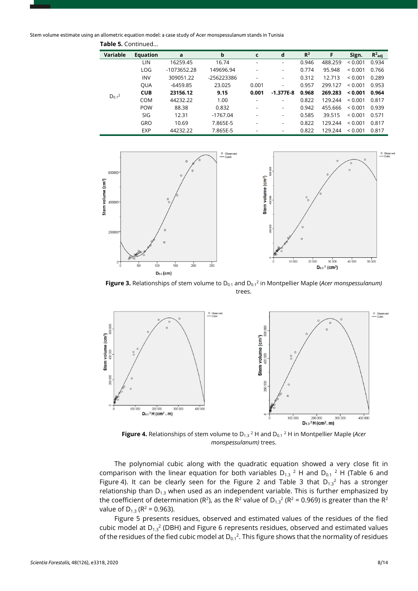Stem volume estimate using an allometric equation model: a case study of Acer monspessulanum stands in Tunisia

| Variable                                                                      | <b>Equation</b> | a           | b          | c                        | d                        | R <sup>2</sup> | F       | Sign.                                                                                                                                   | $R^2$ adi |
|-------------------------------------------------------------------------------|-----------------|-------------|------------|--------------------------|--------------------------|----------------|---------|-----------------------------------------------------------------------------------------------------------------------------------------|-----------|
|                                                                               | LIN             | 16259.45    | 16.74      | ٠                        | $\overline{\phantom{0}}$ | 0.946          | 488.259 | < 0.001                                                                                                                                 | 0.934     |
|                                                                               | LOG             | -1073652.28 | 149696.94  | ٠                        | -                        | 0.774          | 95.948  | ${}_{0.001}$<br>${}_{0.001}$<br>${}_{0.001}$<br>< 0.001<br>${}_{0.001}$<br>${}_{0.001}$<br>${}_{0.001}$<br>${}_{0.001}$<br>${}_{0.001}$ | 0.766     |
|                                                                               | <b>INV</b>      | 309051.22   | -256223386 |                          | $\overline{\phantom{a}}$ | 0.312          | 12.713  |                                                                                                                                         | 0.289     |
|                                                                               | <b>OUA</b>      | $-6459.85$  | 23.025     | 0.001                    | $\overline{\phantom{0}}$ | 0.957          | 299.127 |                                                                                                                                         | 0.953     |
|                                                                               | <b>CUB</b>      | 23156.12    | 9.15       | 0.001                    | $-1.377E-8$              | 0.968          | 269.283 |                                                                                                                                         | 0.964     |
|                                                                               | <b>COM</b>      | 44232.22    | 1.00       |                          | $\overline{\phantom{a}}$ | 0.822          | 129.244 |                                                                                                                                         | 0.817     |
|                                                                               | <b>POW</b>      | 88.38       | 0.832      | $\overline{\phantom{a}}$ | -                        | 0.942          | 455.666 |                                                                                                                                         | 0.939     |
|                                                                               | SIG             | 12.31       | $-1767.04$ |                          | $\overline{\phantom{a}}$ | 0.585          | 39.515  |                                                                                                                                         | 0.571     |
|                                                                               | <b>GRO</b>      | 10.69       | 7.865E-5   | ٠                        | $\overline{\phantom{0}}$ | 0.822          | 129.244 |                                                                                                                                         | 0.817     |
| $D_{0.1}^2$<br><b>EXP</b><br>7.865E-5<br>44232.22<br>$\overline{\phantom{a}}$ |                 | 0.822       | 129.244    |                          | 0.817                    |                |         |                                                                                                                                         |           |

**Table 5.** Continued...



**Figure 3.** Relationships of stem volume to D<sub>0.1</sub> and D<sub>0.1</sub><sup>2</sup> in Montpellier Maple (*Acer monspessulanum*) trees.



**Figure 4.** Relationships of stem volume to D<sub>1.3</sub><sup>2</sup> H and D<sub>0.1</sub><sup>2</sup> H in Montpellier Maple (*Acer monspessulanum)* trees.

The polynomial cubic along with the quadratic equation showed a very close fit in comparison with the linear equation for both variables  $D_{1,3}$ <sup>2</sup> H and  $D_{0,1}$ <sup>2</sup> H (Table 6 and Figure 4). It can be clearly seen for the Figure 2 and Table 3 that  $D_{1,3}^2$  has a stronger relationship than  $D_{1,3}$  when used as an independent variable. This is further emphasized by the coefficient of determination (R<sup>2</sup>), as the R<sup>2</sup> value of D<sub>1.3</sub><sup>2</sup> (R<sup>2</sup> = 0.969) is greater than the R<sup>2</sup> value of  $D_{1,3}$  ( $R^2$  = 0.963).

Figure 5 presents residues, observed and estimated values of the residues of the fied cubic model at  $D_{1.3}^2$  (DBH) and Figure 6 represents residues, observed and estimated values of the residues of the fied cubic model at  $D_{0.1}^2$ . This figure shows that the normality of residues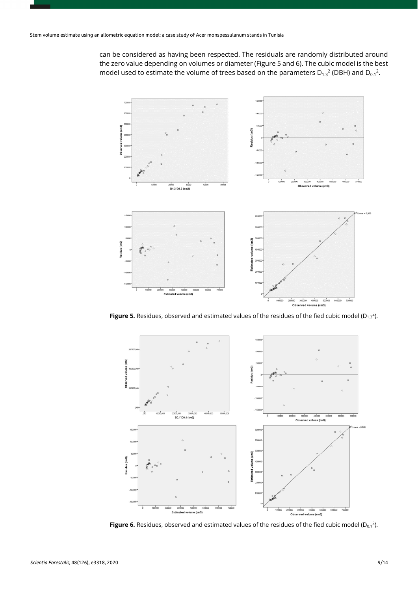can be considered as having been respected. The residuals are randomly distributed around the zero value depending on volumes or diameter (Figure 5 and 6). The cubic model is the best model used to estimate the volume of trees based on the parameters  $D_{1,3}{}^2$  (DBH) and  $D_{0,1}{}^2$ .



**Figure 5.** Residues, observed and estimated values of the residues of the fied cubic model (D<sub>1.3</sub><sup>2</sup>).



**Figure 6.** Residues, observed and estimated values of the residues of the fied cubic model  $(D_{0.1}^2)$ .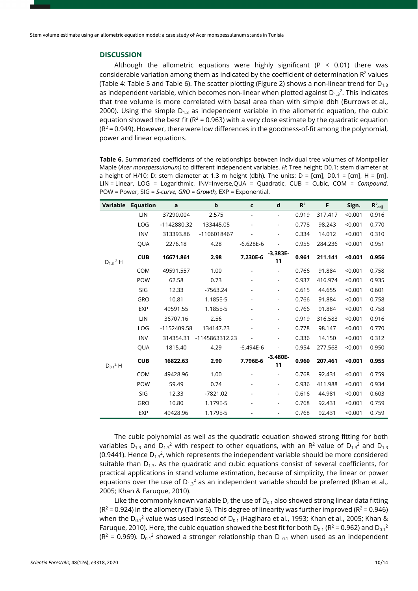## **DISCUSSION**

Although the allometric equations were highly significant (P < 0.01) there was considerable variation among them as indicated by the coefficient of determination  $R^2$  values (Table 4: Table 5 and Table 6). The scatter plotting (Figure 2) shows a non-linear trend for  $D_{13}$ as independent variable, which becomes non-linear when plotted against  $D_{1,3}^2$ . This indicates that tree volume is more correlated with basal area than with simple dbh (Burrows et al., 2000). Using the simple  $D_{1,3}$  as independent variable in the allometric equation, the cubic equation showed the best fit ( $R^2$  = 0.963) with a very close estimate by the quadratic equation  $(R<sup>2</sup> = 0.949)$ . However, there were low differences in the goodness-of-fit among the polynomial, power and linear equations.

**Table 6.** Summarized coefficients of the relationships between individual tree volumes of Montpellier Maple (*Acer monspessulanum)* to different independent variables. *H*: Tree height; D0.1: stem diameter at a height of H/10; D: stem diameter at 1.3 m height (dbh). The units:  $D = [cm]$ ,  $D0.1 = [cm]$ ,  $H = [m]$ . LIN = Linear, LOG = Logarithmic, INV=Inverse,QUA = Quadratic, CUB = Cubic, COM = *Compound*, POW = Power, SIG = *S-curve, GRO = Growth,* EXP = Exponential.

| Variable           | <b>Equation</b> | a           | b              | $\mathsf{c}\,$           | d                            | $R^2$ | F       | Sign.   | $R^2$ <sub>adj</sub> |
|--------------------|-----------------|-------------|----------------|--------------------------|------------------------------|-------|---------|---------|----------------------|
|                    | LIN             | 37290.004   | 2.575          | $\overline{\phantom{0}}$ | ÷,                           | 0.919 | 317.417 | < 0.001 | 0.916                |
|                    | LOG             | -1142880.32 | 133445.05      |                          | $\overline{a}$               | 0.778 | 98.243  | < 0.001 | 0.770                |
|                    | <b>INV</b>      | 313393.86   | -1106018467    |                          | $\qquad \qquad \blacksquare$ | 0.334 | 14.012  | < 0.001 | 0.310                |
|                    | QUA             | 2276.18     | 4.28           | $-6.628E-6$              | $\qquad \qquad \blacksquare$ | 0.955 | 284.236 | < 0.001 | 0.951                |
| $D_{1.3}$ $^{2}$ H | <b>CUB</b>      | 16671.861   | 2.98           | 7.230E-6                 | $-3.383E-$<br>11             | 0.961 | 211.141 | < 0.001 | 0.956                |
|                    | <b>COM</b>      | 49591.557   | 1.00           |                          | $\overline{a}$               | 0.766 | 91.884  | < 0.001 | 0.758                |
|                    | POW             | 62.58       | 0.73           |                          | $\overline{a}$               | 0.937 | 416.974 | < 0.001 | 0.935                |
|                    | SIG             | 12.33       | $-7563.24$     |                          | $\overline{a}$               | 0.615 | 44.655  | < 0.001 | 0.601                |
|                    | GRO             | 10.81       | 1.185E-5       |                          | $\overline{\phantom{a}}$     | 0.766 | 91.884  | < 0.001 | 0.758                |
|                    | EXP             | 49591.55    | 1.185E-5       |                          | $\qquad \qquad \blacksquare$ | 0.766 | 91.884  | < 0.001 | 0.758                |
|                    | LIN             | 36707.16    | 2.56           |                          | $\overline{a}$               | 0.919 | 316.583 | < 0.001 | 0.916                |
|                    | LOG             | -1152409.58 | 134147.23      |                          | $\qquad \qquad \blacksquare$ | 0.778 | 98.147  | < 0.001 | 0.770                |
|                    | <b>INV</b>      | 314354.31   | -1145863312.23 |                          | $\qquad \qquad \blacksquare$ | 0.336 | 14.150  | < 0.001 | 0.312                |
|                    | QUA             | 1815.40     | 4.29           | $-6.494E-6$              | $\qquad \qquad \blacksquare$ | 0.954 | 277.568 | < 0.001 | 0.950                |
| $D_{0.1}{}^{2}$ H  | <b>CUB</b>      | 16822.63    | 2.90           | 7.796E-6                 | $-3.480E-$<br>11             | 0.960 | 207.461 | < 0.001 | 0.955                |
|                    | <b>COM</b>      | 49428.96    | 1.00           |                          | ÷,                           | 0.768 | 92.431  | < 0.001 | 0.759                |
|                    | POW             | 59.49       | 0.74           |                          | $\overline{a}$               | 0.936 | 411.988 | < 0.001 | 0.934                |
|                    | SIG             | 12.33       | $-7821.02$     | $\overline{\phantom{0}}$ | $\qquad \qquad \blacksquare$ | 0.616 | 44.981  | < 0.001 | 0.603                |
|                    | GRO             | 10.80       | 1.179E-5       |                          | $\overline{a}$               | 0.768 | 92.431  | < 0.001 | 0.759                |
|                    | <b>EXP</b>      | 49428.96    | 1.179E-5       |                          | $\overline{a}$               | 0.768 | 92.431  | < 0.001 | 0.759                |

The cubic polynomial as well as the quadratic equation showed strong fitting for both variables  $D_{1,3}$  and  $D_{1,3}^2$  with respect to other equations, with an R<sup>2</sup> value of  $D_{1,3}^2$  and  $D_{1,3}$ (0.9441). Hence  $D_{1,3}^2$ , which represents the independent variable should be more considered suitable than  $D_{1,3}$ . As the quadratic and cubic equations consist of several coefficients, for practical applications in stand volume estimation, because of simplicity, the linear or power equations over the use of  $D_{1,3}^2$  as an independent variable should be preferred (Khan et al., 2005; Khan & Faruque, 2010).

Like the commonly known variable D, the use of  $D_{0.1}$  also showed strong linear data fitting  $(R<sup>2</sup> = 0.924)$  in the allometry (Table 5). This degree of linearity was further improved ( $R<sup>2</sup> = 0.946$ ) when the D<sub>0.1</sub><sup>2</sup> value was used instead of D<sub>0.1</sub> (Hagihara et al., 1993; Khan et al., 2005; Khan & Faruque, 2010). Here, the cubic equation showed the best fit for both  $D_{0.1}$  (R<sup>2</sup> = 0.962) and  $D_{0.1}$ <sup>2</sup> ( $R^2$  = 0.969).  $D_{0.1}^2$  showed a stronger relationship than D  $_{0.1}$  when used as an independent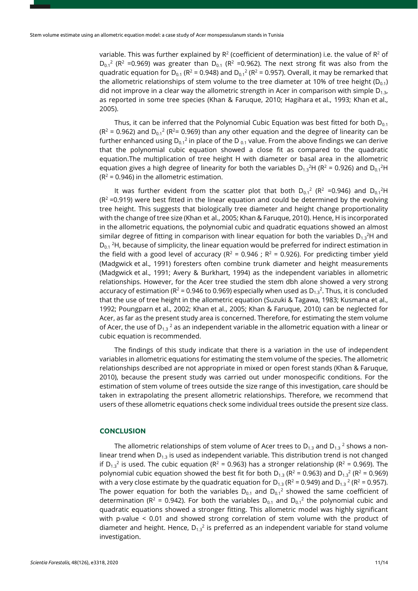variable. This was further explained by  $R^2$  (coefficient of determination) i.e. the value of  $R^2$  of  $D_{0.1}^2$  (R<sup>2</sup> =0.969) was greater than  $D_{0.1}$  (R<sup>2</sup> =0.962). The next strong fit was also from the quadratic equation for  $D_{0.1}$  (R<sup>2</sup> = 0.948) and  $D_{0.1}$ <sup>2</sup> (R<sup>2</sup> = 0.957). Overall, it may be remarked that the allometric relationships of stem volume to the tree diameter at 10% of tree height ( $D_{0,1}$ ) did not improve in a clear way the allometric strength in Acer in comparison with simple  $D_{1,3}$ , as reported in some tree species (Khan & Faruque, 2010; Hagihara et al., 1993; Khan et al., 2005).

Thus, it can be inferred that the Polynomial Cubic Equation was best fitted for both  $D_{0.1}$  $(R^2 = 0.962)$  and  $D_{0.1}^2$  ( $R^2 = 0.969$ ) than any other equation and the degree of linearity can be further enhanced using  $D_{0.1}^2$  in place of the D<sub>0.1</sub> value. From the above findings we can derive that the polynomial cubic equation showed a close fit as compared to the quadratic equation.The multiplication of tree height H with diameter or basal area in the allometric equation gives a high degree of linearity for both the variables  $D_{1,3}{}^{2}H$  (R<sup>2</sup> = 0.926) and  $D_{0,1}{}^{2}H$  $(R^2 = 0.946)$  in the allometric estimation.

It was further evident from the scatter plot that both  $D_{0.1}{}^2$  (R<sup>2</sup> =0.946) and  $D_{0.1}{}^2H$  $(R<sup>2</sup>=0.919)$  were best fitted in the linear equation and could be determined by the evolving tree height. This suggests that biologically tree diameter and height change proportionality with the change of tree size (Khan et al., 2005; Khan & Faruque, 2010). Hence, H is incorporated in the allometric equations, the polynomial cubic and quadratic equations showed an almost similar degree of fitting in comparison with linear equation for both the variables  $D_{1,3}^2$ H and  $D_{0.1}$ <sup>2</sup>H, because of simplicity, the linear equation would be preferred for indirect estimation in the field with a good level of accuracy ( $R^2$  = 0.946 ;  $R^2$  = 0.926). For predicting timber yield (Madgwick et al., 1991) foresters often combine trunk diameter and height measurements (Madgwick et al., 1991; Avery & Burkhart, 1994) as the independent variables in allometric relationships. However, for the Acer tree studied the stem dbh alone showed a very strong accuracy of estimation ( $R^2$  = 0.946 to 0.969) especially when used as  $D_{1,3}^2$ . Thus, it is concluded that the use of tree height in the allometric equation (Suzuki & Tagawa, 1983; Kusmana et al., 1992; Poungparn et al., 2002; Khan et al., 2005; Khan & Faruque, 2010) can be neglected for Acer, as far as the present study area is concerned. Therefore, for estimating the stem volume of Acer, the use of  $D_{1,3}^2$  as an independent variable in the allometric equation with a linear or cubic equation is recommended.

The findings of this study indicate that there is a variation in the use of independent variables in allometric equations for estimating the stem volume of the species. The allometric relationships described are not appropriate in mixed or open forest stands (Khan & Faruque, 2010), because the present study was carried out under monospecific conditions. For the estimation of stem volume of trees outside the size range of this investigation, care should be taken in extrapolating the present allometric relationships. Therefore, we recommend that users of these allometric equations check some individual trees outside the present size class.

#### **CONCLUSION**

The allometric relationships of stem volume of Acer trees to  $D_{13}$  and  $D_{13}$ <sup>2</sup> shows a nonlinear trend when  $D_{1,3}$  is used as independent variable. This distribution trend is not changed if  $D_{1,3}^2$  is used. The cubic equation (R<sup>2</sup> = 0.963) has a stronger relationship (R<sup>2</sup> = 0.969). The polynomial cubic equation showed the best fit for both  $D_{1.3}$  ( $R^2$  = 0.963) and  $D_{1.3}$ <sup>2</sup> ( $R^2$  = 0.969) with a very close estimate by the quadratic equation for  $D_{1,3} (R^2 = 0.949)$  and  $D_{1,3} (R^2 = 0.957)$ . The power equation for both the variables  $D_{0.1}$  and  $D_{0.1}^2$  showed the same coefficient of determination ( $R^2$  = 0.942). For both the variables  $D_{0.1}$  and  $D_{0.1}$ <sup>2</sup> the polynomial cubic and quadratic equations showed a stronger fitting. This allometric model was highly significant with p-value < 0.01 and showed strong correlation of stem volume with the product of diameter and height. Hence,  $D_{1,3}^2$  is preferred as an independent variable for stand volume investigation.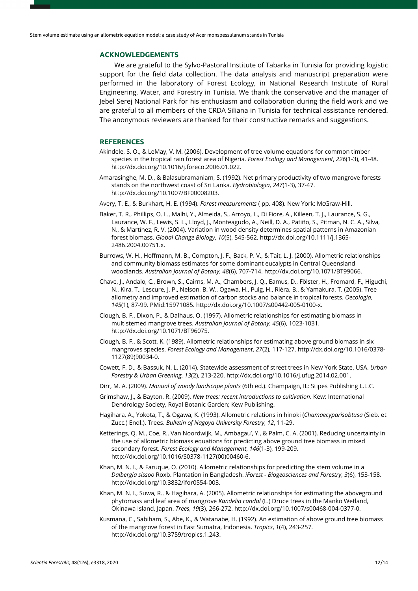## **ACKNOWLEDGEMENTS**

We are grateful to the Sylvo-Pastoral Institute of Tabarka in Tunisia for providing logistic support for the field data collection. The data analysis and manuscript preparation were performed in the laboratory of Forest Ecology, in National Research Institute of Rural Engineering, Water, and Forestry in Tunisia. We thank the conservative and the manager of Jebel Serej National Park for his enthusiasm and collaboration during the field work and we are grateful to all members of the CRDA Siliana in Tunisia for technical assistance rendered. The anonymous reviewers are thanked for their constructive remarks and suggestions.

### **REFERENCES**

- Akindele, S. O., & LeMay, V. M. (2006). Development of tree volume equations for common timber species in the tropical rain forest area of Nigeria. *Forest Ecology and Management*, *226*(1-3), 41-48. [http://dx.doi.org/10.1016/j.foreco.2006.01.022.](https://doi.org/10.1016/j.foreco.2006.01.022)
- Amarasinghe, M. D., & Balasubramaniam, S. (1992). Net primary productivity of two mangrove forests stands on the northwest coast of Sri Lanka. *Hydrobiologia*, *247*(1-3), 37-47. [http://dx.doi.org/10.1007/BF00008203.](https://doi.org/10.1007/BF00008203)
- Avery, T. E., & Burkhart, H. E. (1994). *Forest measurements* ( pp. 408). New York: McGraw-Hill.
- Baker, T. R., Phillips, O. L., Malhi, Y., Almeida, S., Arroyo, L., Di Fiore, A., Killeen, T. J., Laurance, S. G., Laurance, W. F., Lewis, S. L., Lloyd, J., Monteagudo, A., Neill, D. A., Patiño, S., Pitman, N. C. A., Silva, N., & Martínez, R. V. (2004). Variation in wood density determines spatial patterns in Amazonian forest biomass. *Global Change Biology*, *10*(5), 545-562[. http://dx.doi.org/10.1111/j.1365-](https://doi.org/10.1111/j.1365-2486.2004.00751.x) [2486.2004.00751.x.](https://doi.org/10.1111/j.1365-2486.2004.00751.x)
- Burrows, W. H., Hoffmann, M. B., Compton, J. F., Back, P. V., & Tait, L. J. (2000). Allometric relationships and community biomass estimates for some dominant eucalypts in Central Queensland woodlands. *Australian Journal of Botany*, *48*(6), 707-714[. http://dx.doi.org/10.1071/BT99066.](https://doi.org/10.1071/BT99066)
- Chave, J., Andalo, C., Brown, S., Cairns, M. A., Chambers, J. Q., Eamus, D., Fölster, H., Fromard, F., Higuchi, N., Kira, T., Lescure, J. P., Nelson, B. W., Ogawa, H., Puig, H., Riéra, B., & Yamakura, T. (2005). Tree allometry and improved estimation of carbon stocks and balance in tropical forests. *Oecologia*, *145*(1), 87-99. [PMid:15971085.](https://www.ncbi.nlm.nih.gov/entrez/query.fcgi?cmd=Retrieve&db=PubMed&list_uids=15971085&dopt=Abstract) [http://dx.doi.org/10.1007/s00442-005-0100-x.](https://doi.org/10.1007/s00442-005-0100-x)
- Clough, B. F., Dixon, P., & Dalhaus, O. (1997). Allometric relationships for estimating biomass in multistemed mangrove trees. *Australian Journal of Botany*, *45*(6), 1023-1031. [http://dx.doi.org/10.1071/BT96075.](https://doi.org/10.1071/BT96075)
- Clough, B. F., & Scott, K. (1989). Allometric relationships for estimating above ground biomass in six mangroves species. *Forest Ecology and Management*, *27*(2), 117-127[. http://dx.doi.org/10.1016/0378-](https://doi.org/10.1016/0378-1127(89)90034-0) [1127\(89\)90034-0.](https://doi.org/10.1016/0378-1127(89)90034-0)
- Cowett, F. D., & Bassuk, N. L. (2014). Statewide assessment of street trees in New York State, USA. *Urban Forestry & Urban Greening*, *13*(2), 213-220. [http://dx.doi.org/10.1016/j.ufug.2014.02.001.](https://doi.org/10.1016/j.ufug.2014.02.001)
- Dirr, M. A. (2009). *Manual of woody landscape plants* (6th ed.). Champaign, IL: Stipes Publishing L.L.C.
- Grimshaw, J., & Bayton, R. (2009). *New trees: recent introductions to cultivation*. Kew: International Dendrology Society, Royal Botanic Garden; Kew Publishing.
- Hagihara, A., Yokota, T., & Ogawa, K. (1993). Allometric relations in hinoki (*Chamaecyparisobtusa* (Sieb. et Zucc.) Endl.). Trees. *Bulletin of Nagoya University Forestry*, *12*, 11-29.
- Ketterings, Q. M., Coe, R., Van Noordwijk, M., Ambagau', Y., & Palm, C. A. (2001). Reducing uncertainty in the use of allometric biomass equations for predicting above ground tree biomass in mixed secondary forest. *Forest Ecology and Management*, *146*(1-3), 199-209. [http://dx.doi.org/10.1016/S0378-1127\(00\)00460-6.](https://doi.org/10.1016/S0378-1127(00)00460-6)
- Khan, M. N. I., & Faruque, O. (2010). Allometric relationships for predicting the stem volume in a *Dalbergia sissoo* Roxb. Plantation in Bangladesh. *iForest - Biogeosciences and Forestry*, *3*(6), 153-158. [http://dx.doi.org/10.3832/ifor0554-003.](https://doi.org/10.3832/ifor0554-003)
- Khan, M. N. I., Suwa, R., & Hagihara, A. (2005). Allometric relationships for estimating the aboveground phytomass and leaf area of mangrove *Kandelia candal* (L.) Druce trees in the Manko Wetland, Okinawa Island, Japan. *Trees*, *19*(3), 266-272. [http://dx.doi.org/10.1007/s00468-004-0377-0.](https://doi.org/10.1007/s00468-004-0377-0)
- Kusmana, C., Sabiham, S., Abe, K., & Watanabe, H. (1992). An estimation of above ground tree biomass of the mangrove forest in East Sumatra, Indonesia. *Tropics*, *1*(4), 243-257. [http://dx.doi.org/10.3759/tropics.1.243.](https://doi.org/10.3759/tropics.1.243)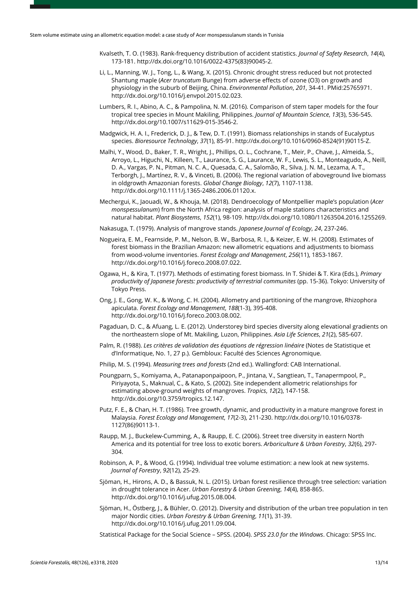- Kvalseth, T. O. (1983). Rank-frequency distribution of accident statistics. *Journal of Safety Research*, *14*(4), 173-181. [http://dx.doi.org/10.1016/0022-4375\(83\)90045-2.](https://doi.org/10.1016/0022-4375(83)90045-2)
- Li, L., Manning, W. J., Tong, L., & Wang, X. (2015). Chronic drought stress reduced but not protected Shantung maple (*Acer truncatum* Bunge) from adverse effects of ozone (O3) on growth and physiology in the suburb of Beijing, China. *Environmental Pollution*, *201*, 34-41. [PMid:25765971.](https://www.ncbi.nlm.nih.gov/entrez/query.fcgi?cmd=Retrieve&db=PubMed&list_uids=25765971&dopt=Abstract) [http://dx.doi.org/10.1016/j.envpol.2015.02.023.](https://doi.org/10.1016/j.envpol.2015.02.023)
- Lumbers, R. I., Abino, A. C., & Pampolina, N. M. (2016). Comparison of stem taper models for the four tropical tree species in Mount Makiling, Philippines. *Journal of Mountain Science*, *13*(3), 536-545. [http://dx.doi.org/10.1007/s11629-015-3546-2.](https://doi.org/10.1007/s11629-015-3546-2)
- Madgwick, H. A. I., Frederick, D. J., & Tew, D. T. (1991). Biomass relationships in stands of Eucalyptus species. *Bioresource Technology*, *37*(1), 85-91[. http://dx.doi.org/10.1016/0960-8524\(91\)90115-Z.](https://doi.org/10.1016/0960-8524(91)90115-Z)
- Malhi, Y., Wood, D., Baker, T. R., Wright, J., Phillips, O. L., Cochrane, T., Meir, P., Chave, J., Almeida, S., Arroyo, L., Higuchi, N., Killeen, T., Laurance, S. G., Laurance, W. F., Lewis, S. L., Monteagudo, A., Neill, D. A., Vargas, P. N., Pitman, N. C. A., Quesada, C. A., Salomão, R., Silva, J. N. M., Lezama, A. T., Terborgh, J., Martínez, R. V., & Vinceti, B. (2006). The regional variation of aboveground live biomass in oldgrowth Amazonian forests. *Global Change Biology*, *12*(7), 1107-1138. [http://dx.doi.org/10.1111/j.1365-2486.2006.01120.x.](https://doi.org/10.1111/j.1365-2486.2006.01120.x)
- Mechergui, K., Jaouadi, W., & Khouja, M. (2018). Dendroecology of Montpellier maple's population (*Acer monspessulanum*) from the North Africa region: analysis of maple stations characteristics and natural habitat. *Plant Biosystems*, *152*(1), 98-109. [http://dx.doi.org/10.1080/11263504.2016.1255269.](https://doi.org/10.1080/11263504.2016.1255269)

Nakasuga, T. (1979). Analysis of mangrove stands. *Japanese Journal of Ecology*, *24*, 237-246.

- Nogueira, E. M., Fearnside, P. M., Nelson, B. W., Barbosa, R. I., & Keizer, E. W. H. (2008). Estimates of forest biomass in the Brazilian Amazon: new allometric equations and adjustments to biomass from wood-volume inventories. *Forest Ecology and Management*, *256*(11), 1853-1867. [http://dx.doi.org/10.1016/j.foreco.2008.07.022.](https://doi.org/10.1016/j.foreco.2008.07.022)
- Ogawa, H., & Kira, T. (1977). Methods of estimating forest biomass. In T. Shidei & T. Kira (Eds.), *Primary productivity of Japanese forests: productivity of terrestrial communites* (pp. 15-36). Tokyo: University of Tokyo Press.
- Ong, J. E., Gong, W. K., & Wong, C. H. (2004). Allometry and partitioning of the mangrove, Rhizophora apiculata. *Forest Ecology and Management*, *188*(1-3), 395-408. [http://dx.doi.org/10.1016/j.foreco.2003.08.002.](https://doi.org/10.1016/j.foreco.2003.08.002)
- Pagaduan, D. C., & Afuang, L. E. (2012). Understorey bird species diversity along elevational gradients on the northeastern slope of Mt. Makiling, Luzon, Philippines. *Asia Life Sciences*, *21*(2), 585-607.
- Palm, R. (1988). *Les critères de validation des équations de régression linéaire* (Notes de Statistique et d'Informatique, No. 1, 27 p.). Gembloux: Faculté des Sciences Agronomique.
- Philip, M. S. (1994). *Measuring trees and forests* (2nd ed.). Wallingford: CAB International.
- Poungparn, S., Komiyama, A., Patanaponpaipoon, P., Jintana, V., Sangtiean, T., Tanapermpool, P., Piriyayota, S., Maknual, C., & Kato, S. (2002). Site independent allometric relationships for estimating above-ground weights of mangroves. *Tropics*, *12*(2), 147-158. [http://dx.doi.org/10.3759/tropics.12.147.](https://doi.org/10.3759/tropics.12.147)
- Putz, F. E., & Chan, H. T. (1986). Tree growth, dynamic, and productivity in a mature mangrove forest in Malaysia. *Forest Ecology and Management*, *17*(2-3), 211-230. [http://dx.doi.org/10.1016/0378-](https://doi.org/10.1016/0378-1127(86)90113-1) [1127\(86\)90113-1.](https://doi.org/10.1016/0378-1127(86)90113-1)
- Raupp, M. J., Buckelew-Cumming, A., & Raupp, E. C. (2006). Street tree diversity in eastern North America and its potential for tree loss to exotic borers. *Arboriculture & Urban Forestry*, *32*(6), 297-  $304.$
- Robinson, A. P., & Wood, G. (1994). Individual tree volume estimation: a new look at new systems. *Journal of Forestry*, *92*(12), 25-29.
- Sjöman, H., Hirons, A. D., & Bassuk, N. L. (2015). Urban forest resilience through tree selection: variation in drought tolerance in Acer. *Urban Forestry & Urban Greening*, *14*(4), 858-865. [http://dx.doi.org/10.1016/j.ufug.2015.08.004.](https://doi.org/10.1016/j.ufug.2015.08.004)
- Sjöman, H., Östberg, J., & Bühler, O. (2012). Diversity and distribution of the urban tree population in ten major Nordic cities. *Urban Forestry & Urban Greening*, *11*(1), 31-39. [http://dx.doi.org/10.1016/j.ufug.2011.09.004.](https://doi.org/10.1016/j.ufug.2011.09.004)

Statistical Package for the Social Science – SPSS. (2004). *SPSS 23.0 for the Windows*. Chicago: SPSS Inc.